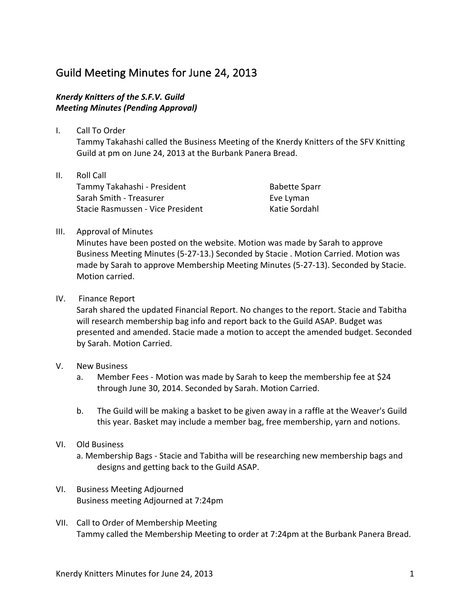## Guild Meeting Minutes for June 24, 2013

## **Knerdy Knitters of the S.F.V. Guild** *Meeting Minutes (Pending Approval)*

- I. Call To Order Tammy Takahashi called the Business Meeting of the Knerdy Knitters of the SFV Knitting Guild at pm on June 24, 2013 at the Burbank Panera Bread.
- II. Roll Call Tammy Takahashi - President Sarah Smith - Treasurer Stacie Rasmussen - Vice President

**Babette Sparr** Eve Lyman Katie Sordahl

## III. Approval of Minutes

Minutes have been posted on the website. Motion was made by Sarah to approve Business Meeting Minutes (5-27-13.) Seconded by Stacie . Motion Carried. Motion was made by Sarah to approve Membership Meeting Minutes (5-27-13). Seconded by Stacie. Motion carried.

IV. Finance Report

Sarah shared the updated Financial Report. No changes to the report. Stacie and Tabitha will research membership bag info and report back to the Guild ASAP. Budget was presented and amended. Stacie made a motion to accept the amended budget. Seconded by Sarah. Motion Carried.

- V. New Business
	- a. Member Fees Motion was made by Sarah to keep the membership fee at \$24 through June 30, 2014. Seconded by Sarah. Motion Carried.
	- b. The Guild will be making a basket to be given away in a raffle at the Weaver's Guild this year. Basket may include a member bag, free membership, yarn and notions.
- VI. Old Business
	- a. Membership Bags Stacie and Tabitha will be researching new membership bags and designs and getting back to the Guild ASAP.
- VI. Business Meeting Adjourned Business meeting Adjourned at 7:24pm
- VII. Call to Order of Membership Meeting Tammy called the Membership Meeting to order at 7:24pm at the Burbank Panera Bread.